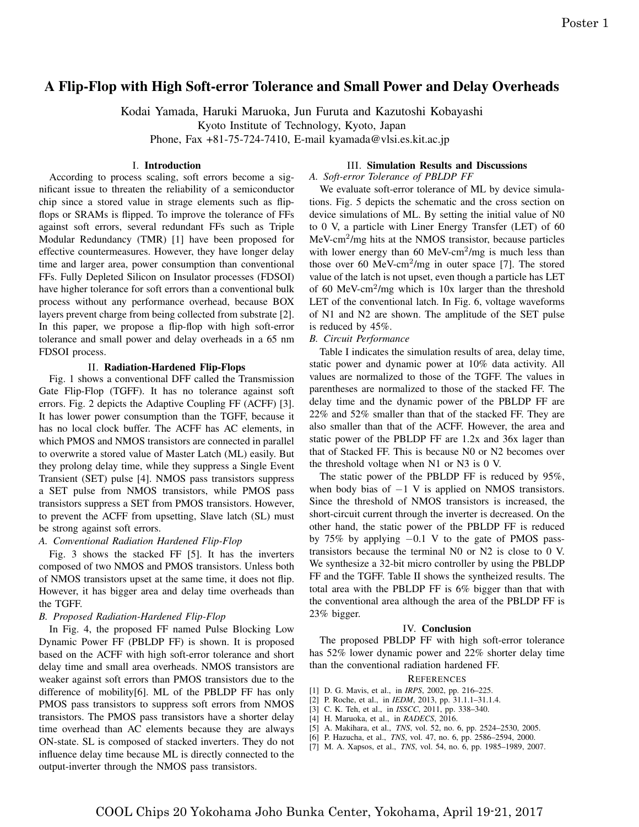## A Flip-Flop with High Soft-error Tolerance and Small Power and Delay Overheads

Kodai Yamada, Haruki Maruoka, Jun Furuta and Kazutoshi Kobayashi

Kyoto Institute of Technology, Kyoto, Japan

Phone, Fax +81-75-724-7410, E-mail kyamada@vlsi.es.kit.ac.jp

## I. Introduction

According to process scaling, soft errors become a significant issue to threaten the reliability of a semiconductor chip since a stored value in strage elements such as flipflops or SRAMs is flipped. To improve the tolerance of FFs against soft errors, several redundant FFs such as Triple Modular Redundancy (TMR) [1] have been proposed for effective countermeasures. However, they have longer delay time and larger area, power consumption than conventional FFs. Fully Depleted Silicon on Insulator processes (FDSOI) have higher tolerance for soft errors than a conventional bulk process without any performance overhead, because BOX layers prevent charge from being collected from substrate [2]. In this paper, we propose a flip-flop with high soft-error tolerance and small power and delay overheads in a 65 nm FDSOI process.

#### II. Radiation-Hardened Flip-Flops

Fig. 1 shows a conventional DFF called the Transmission Gate Flip-Flop (TGFF). It has no tolerance against soft errors. Fig. 2 depicts the Adaptive Coupling FF (ACFF) [3]. It has lower power consumption than the TGFF, because it has no local clock buffer. The ACFF has AC elements, in which PMOS and NMOS transistors are connected in parallel to overwrite a stored value of Master Latch (ML) easily. But they prolong delay time, while they suppress a Single Event Transient (SET) pulse [4]. NMOS pass transistors suppress a SET pulse from NMOS transistors, while PMOS pass transistors suppress a SET from PMOS transistors. However, to prevent the ACFF from upsetting, Slave latch (SL) must be strong against soft errors.

#### *A. Conventional Radiation Hardened Flip-Flop*

Fig. 3 shows the stacked FF [5]. It has the inverters composed of two NMOS and PMOS transistors. Unless both of NMOS transistors upset at the same time, it does not flip. However, it has bigger area and delay time overheads than the TGFF.

#### *B. Proposed Radiation-Hardened Flip-Flop*

In Fig. 4, the proposed FF named Pulse Blocking Low Dynamic Power FF (PBLDP FF) is shown. It is proposed based on the ACFF with high soft-error tolerance and short delay time and small area overheads. NMOS transistors are weaker against soft errors than PMOS transistors due to the difference of mobility[6]. ML of the PBLDP FF has only PMOS pass transistors to suppress soft errors from NMOS transistors. The PMOS pass transistors have a shorter delay time overhead than AC elements because they are always ON-state. SL is composed of stacked inverters. They do not influence delay time because ML is directly connected to the output-inverter through the NMOS pass transistors.

## III. Simulation Results and Discussions

*A. Soft-error Tolerance of PBLDP FF*

We evaluate soft-error tolerance of ML by device simulations. Fig. 5 depicts the schematic and the cross section on device simulations of ML. By setting the initial value of N0 to 0 V, a particle with Liner Energy Transfer (LET) of 60 MeV-cm<sup>2</sup>/mg hits at the NMOS transistor, because particles with lower energy than  $60$  MeV-cm<sup>2</sup>/mg is much less than those over 60 MeV-cm<sup>2</sup>/mg in outer space [7]. The stored value of the latch is not upset, even though a particle has LET of 60 MeV-cm<sup>2</sup>/mg which is  $10x$  larger than the threshold LET of the conventional latch. In Fig. 6, voltage waveforms of N1 and N2 are shown. The amplitude of the SET pulse is reduced by 45%.

*B. Circuit Performance*

Table I indicates the simulation results of area, delay time, static power and dynamic power at 10% data activity. All values are normalized to those of the TGFF. The values in parentheses are normalized to those of the stacked FF. The delay time and the dynamic power of the PBLDP FF are 22% and 52% smaller than that of the stacked FF. They are also smaller than that of the ACFF. However, the area and static power of the PBLDP FF are 1.2x and 36x lager than that of Stacked FF. This is because N0 or N2 becomes over the threshold voltage when N1 or N3 is 0 V.

The static power of the PBLDP FF is reduced by 95%, when body bias of *−*1 V is applied on NMOS transistors. Since the threshold of NMOS transistors is increased, the short-circuit current through the inverter is decreased. On the other hand, the static power of the PBLDP FF is reduced by 75% by applying *−*0.1 V to the gate of PMOS passtransistors because the terminal N0 or N2 is close to 0 V. We synthesize a 32-bit micro controller by using the PBLDP FF and the TGFF. Table II shows the syntheized results. The total area with the PBLDP FF is 6% bigger than that with the conventional area although the area of the PBLDP FF is 23% bigger.

## IV. Conclusion

The proposed PBLDP FF with high soft-error tolerance has 52% lower dynamic power and 22% shorter delay time than the conventional radiation hardened FF.

#### **REFERENCES**

- [1] D. G. Mavis, et al., in *IRPS*, 2002, pp. 216–225.
- [2] P. Roche, et al., in *IEDM*, 2013, pp. 31.1.1–31.1.4.
- [3] C. K. Teh, et al., in *ISSCC*, 2011, pp. 338–340.
- [4] H. Maruoka, et al., in *RADECS*, 2016.
- [5] A. Makihara, et al., *TNS*, vol. 52, no. 6, pp. 2524–2530, 2005.
- [6] P. Hazucha, et al., *TNS*, vol. 47, no. 6, pp. 2586–2594, 2000.
- [7] M. A. Xapsos, et al., *TNS*, vol. 54, no. 6, pp. 1985–1989, 2007.